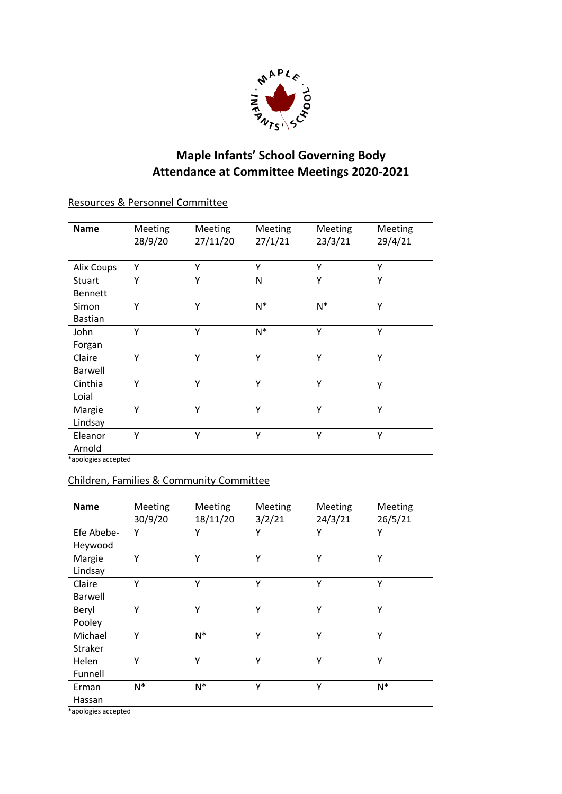

## **Maple Infants' School Governing Body Attendance at Committee Meetings 2020-2021**

## Resources & Personnel Committee

| <b>Name</b>              | Meeting<br>28/9/20 | Meeting<br>27/11/20 | Meeting<br>27/1/21 | Meeting<br>23/3/21 | Meeting<br>29/4/21 |
|--------------------------|--------------------|---------------------|--------------------|--------------------|--------------------|
| <b>Alix Coups</b>        | Υ                  | Υ                   | Y                  | Υ                  | Y                  |
| Stuart<br><b>Bennett</b> | Y                  | Y                   | N                  | Y                  | Y                  |
| Simon<br><b>Bastian</b>  | Υ                  | Y                   | $N^*$              | $N^*$              | Υ                  |
| John<br>Forgan           | Y                  | Υ                   | $N^*$              | Υ                  | Y                  |
| Claire<br><b>Barwell</b> | Υ                  | Y                   | Y                  | Y                  | Y                  |
| Cinthia<br>Loial         | Υ                  | Y                   | Y                  | Y                  | y                  |
| Margie<br>Lindsay        | Y                  | Y                   | Y                  | Y                  | Y                  |
| Eleanor<br>Arnold        | Y                  | Y                   | Y                  | Y                  | Y                  |

\*apologies accepted

## Children, Families & Community Committee

| <b>Name</b>              | Meeting<br>30/9/20 | <b>Meeting</b><br>18/11/20 | Meeting<br>3/2/21 | Meeting<br>24/3/21 | Meeting<br>26/5/21 |
|--------------------------|--------------------|----------------------------|-------------------|--------------------|--------------------|
| Efe Abebe-<br>Heywood    | Υ                  | Y                          | Υ                 | Υ                  | Y                  |
| Margie<br>Lindsay        | Υ                  | Υ                          | Υ                 | Υ                  | Υ                  |
| Claire<br><b>Barwell</b> | Υ                  | Υ                          | Y                 | Υ                  | Υ                  |
| Beryl<br>Pooley          | Υ                  | Υ                          | Y                 | Υ                  | Y                  |
| Michael<br>Straker       | Y                  | $N^*$                      | Y                 | Y                  | Y                  |
| Helen<br>Funnell         | Υ                  | Υ                          | Y                 | Y                  | Y                  |
| Erman<br>Hassan          | $N^*$              | $N^*$                      | Υ                 | Y                  | $N^*$              |

\*apologies accepted